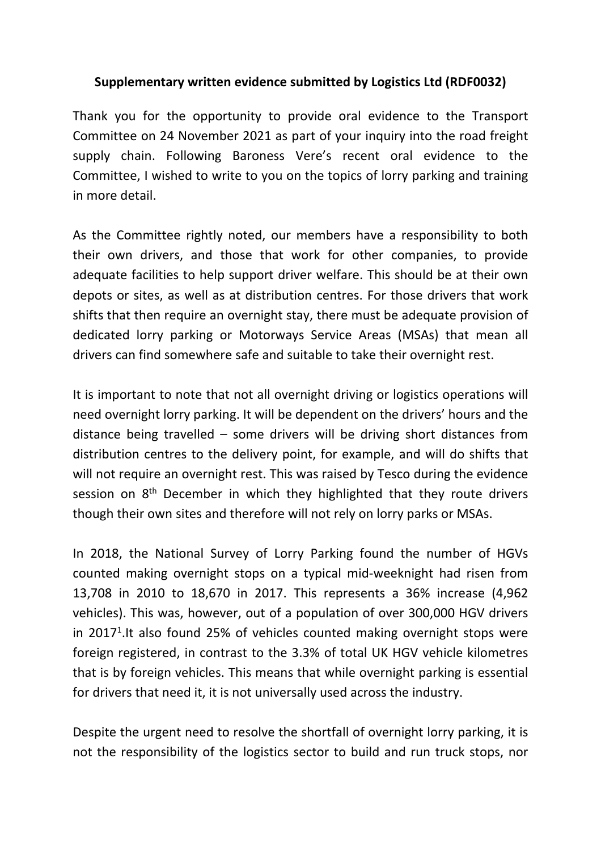## **Supplementary written evidence submitted by Logistics Ltd (RDF0032)**

Thank you for the opportunity to provide oral evidence to the Transport Committee on 24 November 2021 as part of your inquiry into the road freight supply chain. Following Baroness Vere's recent oral evidence to the Committee, I wished to write to you on the topics of lorry parking and training in more detail.

As the Committee rightly noted, our members have a responsibility to both their own drivers, and those that work for other companies, to provide adequate facilities to help support driver welfare. This should be at their own depots or sites, as well as at distribution centres. For those drivers that work shifts that then require an overnight stay, there must be adequate provision of dedicated lorry parking or Motorways Service Areas (MSAs) that mean all drivers can find somewhere safe and suitable to take their overnight rest.

It is important to note that not all overnight driving or logistics operations will need overnight lorry parking. It will be dependent on the drivers' hours and the distance being travelled – some drivers will be driving short distances from distribution centres to the delivery point, for example, and will do shifts that will not require an overnight rest. This was raised by Tesco during the evidence session on 8<sup>th</sup> December in which they highlighted that they route drivers though their own sites and therefore will not rely on lorry parks or MSAs.

In 2018, the National Survey of Lorry Parking found the number of HGVs counted making overnight stops on a typical mid-weeknight had risen from 13,708 in 2010 to 18,670 in 2017. This represents a 36% increase (4,962 vehicles). This was, however, out of a population of over 300,000 HGV drivers in 2017<sup>1</sup>. It also found 25% of vehicles counted making overnight stops were foreign registered, in contrast to the 3.3% of total UK HGV vehicle kilometres that is by foreign vehicles. This means that while overnight parking is essential for drivers that need it, it is not universally used across the industry.

Despite the urgent need to resolve the shortfall of overnight lorry parking, it is not the responsibility of the logistics sector to build and run truck stops, nor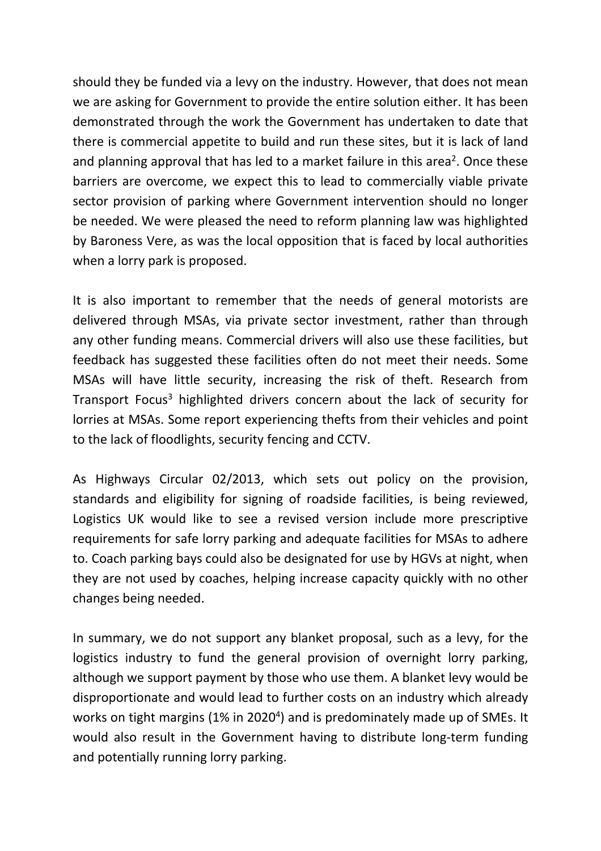should they be funded via a levy on the industry. However, that does not mean we are asking for Government to provide the entire solution either. It has been demonstrated through the work the Government has undertaken to date that there is commercial appetite to build and run these sites, but it is lack of land and planning approval that has led to a market failure in this area<sup>2</sup>. Once these barriers are overcome, we expect this to lead to commercially viable private sector provision of parking where Government intervention should no longer be needed. We were pleased the need to reform planning law was highlighted by Baroness Vere, as was the local opposition that is faced by local authorities when a lorry park is proposed.

It is also important to remember that the needs of general motorists are delivered through MSAs, via private sector investment, rather than through any other funding means. Commercial drivers will also use these facilities, but feedback has suggested these facilities often do not meet their needs. Some MSAs will have little security, increasing the risk of theft. Research from Transport Focus<sup>3</sup> highlighted drivers concern about the lack of security for lorries at MSAs. Some report experiencing thefts from their vehicles and point to the lack of floodlights, security fencing and CCTV.

As Highways Circular 02/2013, which sets out policy on the provision, standards and eligibility for signing of roadside facilities, is being reviewed, Logistics UK would like to see a revised version include more prescriptive requirements for safe lorry parking and adequate facilities for MSAs to adhere to. Coach parking bays could also be designated for use by HGVs at night, when they are not used by coaches, helping increase capacity quickly with no other changes being needed.

In summary, we do not support any blanket proposal, such as a levy, for the logistics industry to fund the general provision of overnight lorry parking, although we support payment by those who use them. A blanket levy would be disproportionate and would lead to further costs on an industry which already works on tight margins (1% in 2020<sup>4</sup>) and is predominately made up of SMEs. It would also result in the Government having to distribute long-term funding and potentially running lorry parking.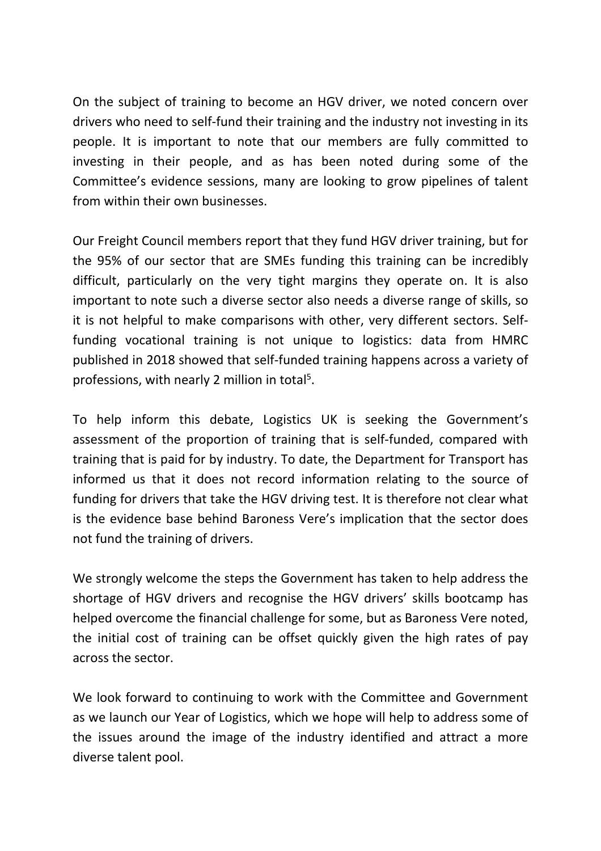On the subject of training to become an HGV driver, we noted concern over drivers who need to self-fund their training and the industry not investing in its people. It is important to note that our members are fully committed to investing in their people, and as has been noted during some of the Committee's evidence sessions, many are looking to grow pipelines of talent from within their own businesses.

Our Freight Council members report that they fund HGV driver training, but for the 95% of our sector that are SMEs funding this training can be incredibly difficult, particularly on the very tight margins they operate on. It is also important to note such a diverse sector also needs a diverse range of skills, so it is not helpful to make comparisons with other, very different sectors. Selffunding vocational training is not unique to logistics: data from HMRC published in 2018 showed that self-funded training happens across a variety of professions, with nearly 2 million in total<sup>5</sup>.

To help inform this debate, Logistics UK is seeking the Government's assessment of the proportion of training that is self-funded, compared with training that is paid for by industry. To date, the Department for Transport has informed us that it does not record information relating to the source of funding for drivers that take the HGV driving test. It is therefore not clear what is the evidence base behind Baroness Vere's implication that the sector does not fund the training of drivers.

We strongly welcome the steps the Government has taken to help address the shortage of HGV drivers and recognise the HGV drivers' skills bootcamp has helped overcome the financial challenge for some, but as Baroness Vere noted, the initial cost of training can be offset quickly given the high rates of pay across the sector.

We look forward to continuing to work with the Committee and Government as we launch our Year of Logistics, which we hope will help to address some of the issues around the image of the industry identified and attract a more diverse talent pool.